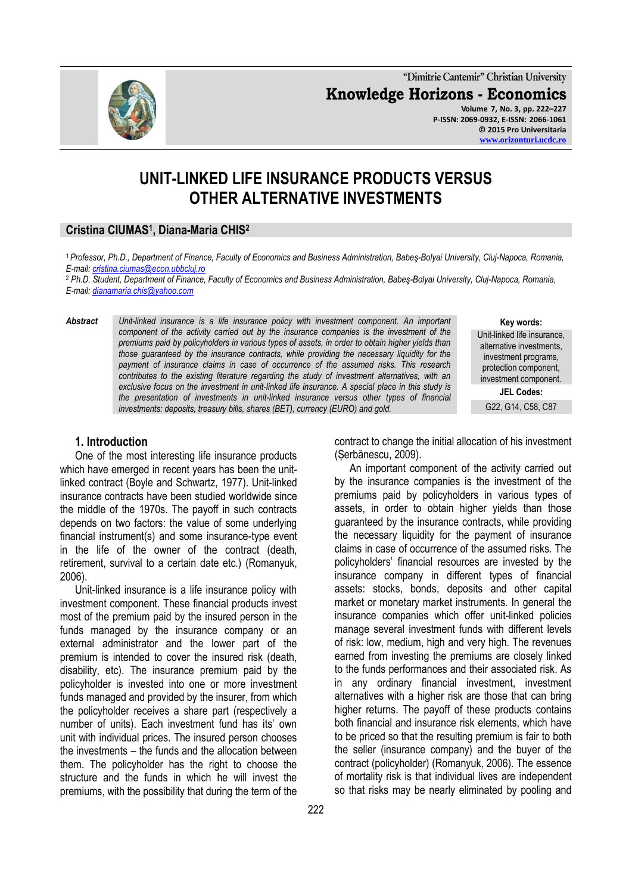**"Dimitrie Cantemir" Christian University Knowledge Horizons - Economics Volume 7, No. 3, pp. 222–227 P-ISSN: 2069-0932, E-ISSN: 2066-1061 © 2015 Pro Universitaria [www.orizonturi.ucdc.ro](http://www.orizonturi.ucdc.ro/)**

# **UNIT-LINKED LIFE INSURANCE PRODUCTS VERSUS OTHER ALTERNATIVE INVESTMENTS**

## **Cristina CIUMAS<sup>1</sup> , Diana-Maria CHIS<sup>2</sup>**

<sup>1</sup>*Professor, Ph.D., Department of Finance, Faculty of Economics and Business Administration, Babeş-Bolyai University, Cluj-Napoca, Romania, E-mail: [cristina.ciumas@econ.ubbcluj.ro](mailto:cristina.ciumas@econ.ubbcluj.ro)*

<sup>2</sup> *Ph.D. Student, Department of Finance, Faculty of Economics and Business Administration, Babeş-Bolyai University, Cluj-Napoca, Romania, E-mail: [dianamaria.chis@yahoo.com](mailto:dianamaria.chis@yahoo.com)*

*Abstract Unit-linked insurance is a life insurance policy with investment component. An important component of the activity carried out by the insurance companies is the investment of the premiums paid by policyholders in various types of assets, in order to obtain higher yields than those guaranteed by the insurance contracts, while providing the necessary liquidity for the payment of insurance claims in case of occurrence of the assumed risks. This research contributes to the existing literature regarding the study of investment alternatives, with an exclusive focus on the investment in unit-linked life insurance. A special place in this study is the presentation of investments in unit-linked insurance versus other types of financial investments: deposits, treasury bills, shares (BET), currency (EURO) and gold.* 

Unit-linked life insurance, alternative investments, investment programs, protection component, investment component.

**Key words:**

**JEL Codes:**

# G22, G14, C58, C87

#### **1. Introduction**

One of the most interesting life insurance products which have emerged in recent years has been the unitlinked contract (Boyle and Schwartz, 1977). Unit-linked insurance contracts have been studied worldwide since the middle of the 1970s. The payoff in such contracts depends on two factors: the value of some underlying financial instrument(s) and some insurance-type event in the life of the owner of the contract (death, retirement, survival to a certain date etc.) (Romanyuk, 2006).

Unit-linked insurance is a life insurance policy with investment component. These financial products invest most of the premium paid by the insured person in the funds managed by the insurance company or an external administrator and the lower part of the premium is intended to cover the insured risk (death, disability, etc). The insurance premium paid by the policyholder is invested into one or more investment funds managed and provided by the insurer, from which the policyholder receives a share part (respectively a number of units). Each investment fund has its' own unit with individual prices. The insured person chooses the investments – the funds and the allocation between them. The policyholder has the right to choose the structure and the funds in which he will invest the premiums, with the possibility that during the term of the

contract to change the initial allocation of his investment (Șerbănescu, 2009).

An important component of the activity carried out by the insurance companies is the investment of the premiums paid by policyholders in various types of assets, in order to obtain higher yields than those guaranteed by the insurance contracts, while providing the necessary liquidity for the payment of insurance claims in case of occurrence of the assumed risks. The policyholders' financial resources are invested by the insurance company in different types of financial assets: stocks, bonds, deposits and other capital market or monetary market instruments. In general the insurance companies which offer unit-linked policies manage several investment funds with different levels of risk: low, medium, high and very high. The revenues earned from investing the premiums are closely linked to the funds performances and their associated risk. As in any ordinary financial investment, investment alternatives with a higher risk are those that can bring higher returns. The payoff of these products contains both financial and insurance risk elements, which have to be priced so that the resulting premium is fair to both the seller (insurance company) and the buyer of the contract (policyholder) (Romanyuk, 2006). The essence of mortality risk is that individual lives are independent so that risks may be nearly eliminated by pooling and

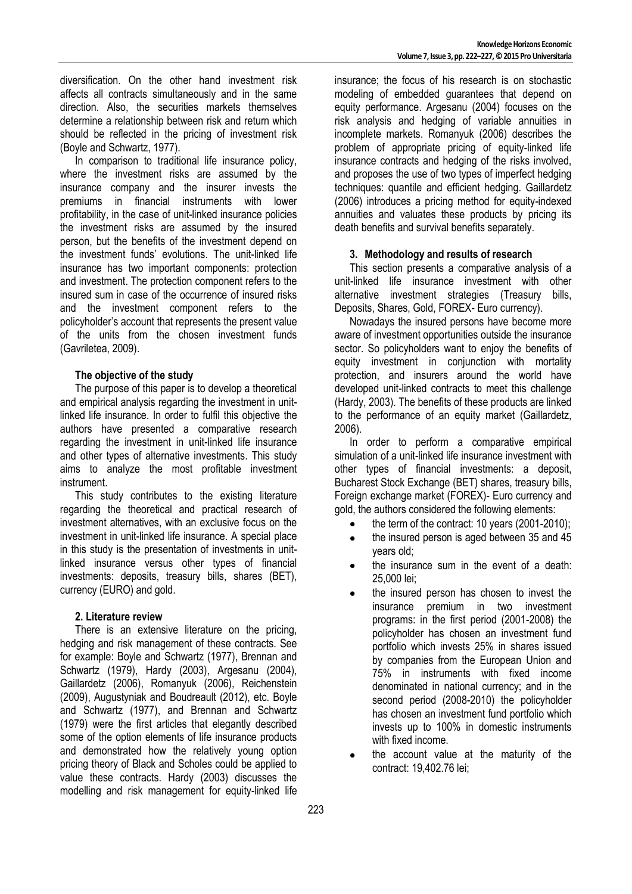diversification. On the other hand investment risk affects all contracts simultaneously and in the same direction. Also, the securities markets themselves determine a relationship between risk and return which should be reflected in the pricing of investment risk (Boyle and Schwartz, 1977).

In comparison to traditional life insurance policy, where the investment risks are assumed by the insurance company and the insurer invests the premiums in financial instruments with lower profitability, in the case of unit-linked insurance policies the investment risks are assumed by the insured person, but the benefits of the investment depend on the investment funds' evolutions. The unit-linked life insurance has two important components: protection and investment. The protection component refers to the insured sum in case of the occurrence of insured risks and the investment component refers to the policyholder's account that represents the present value of the units from the chosen investment funds (Gavriletea, 2009).

#### **The objective of the study**

The purpose of this paper is to develop a theoretical and empirical analysis regarding the investment in unitlinked life insurance. In order to fulfil this objective the authors have presented a comparative research regarding the investment in unit-linked life insurance and other types of alternative investments. This study aims to analyze the most profitable investment instrument.

This study contributes to the existing literature regarding the theoretical and practical research of investment alternatives, with an exclusive focus on the investment in unit-linked life insurance. A special place in this study is the presentation of investments in unitlinked insurance versus other types of financial investments: deposits, treasury bills, shares (BET), currency (EURO) and gold.

#### **2. Literature review**

There is an extensive literature on the pricing, hedging and risk management of these contracts. See for example: Boyle and Schwartz (1977), Brennan and Schwartz (1979), Hardy (2003), Argesanu (2004), Gaillardetz (2006), Romanyuk (2006), Reichenstein (2009), Augustyniak and Boudreault (2012), etc. Boyle and Schwartz (1977), and Brennan and Schwartz (1979) were the first articles that elegantly described some of the option elements of life insurance products and demonstrated how the relatively young option pricing theory of Black and Scholes could be applied to value these contracts. Hardy (2003) discusses the modelling and risk management for equity-linked life insurance; the focus of his research is on stochastic modeling of embedded guarantees that depend on equity performance. Argesanu (2004) focuses on the risk analysis and hedging of variable annuities in incomplete markets. Romanyuk (2006) describes the problem of appropriate pricing of equity-linked life insurance contracts and hedging of the risks involved, and proposes the use of two types of imperfect hedging techniques: quantile and efficient hedging. Gaillardetz (2006) introduces a pricing method for equity-indexed annuities and valuates these products by pricing its death benefits and survival benefits separately.

#### **3. Methodology and results of research**

This section presents a comparative analysis of a unit-linked life insurance investment with other alternative investment strategies (Treasury bills, Deposits, Shares, Gold, FOREX- Euro currency).

Nowadays the insured persons have become more aware of investment opportunities outside the insurance sector. So policyholders want to enjoy the benefits of equity investment in conjunction with mortality protection, and insurers around the world have developed unit-linked contracts to meet this challenge (Hardy, 2003). The benefits of these products are linked to the performance of an equity market (Gaillardetz, 2006).

In order to perform a comparative empirical simulation of a unit-linked life insurance investment with other types of financial investments: a deposit, Bucharest Stock Exchange (BET) shares, treasury bills, Foreign exchange market (FOREX)- Euro currency and gold, the authors considered the following elements:

- the term of the contract: 10 years (2001-2010);
- the insured person is aged between 35 and 45 years old;
- the insurance sum in the event of a death: 25,000 lei;
- the insured person has chosen to invest the insurance premium in two investment programs: in the first period (2001-2008) the policyholder has chosen an investment fund portfolio which invests 25% in shares issued by companies from the European Union and 75% in instruments with fixed income denominated in national currency; and in the second period (2008-2010) the policyholder has chosen an investment fund portfolio which invests up to 100% in domestic instruments with fixed income.
- the account value at the maturity of the contract: 19,402.76 lei;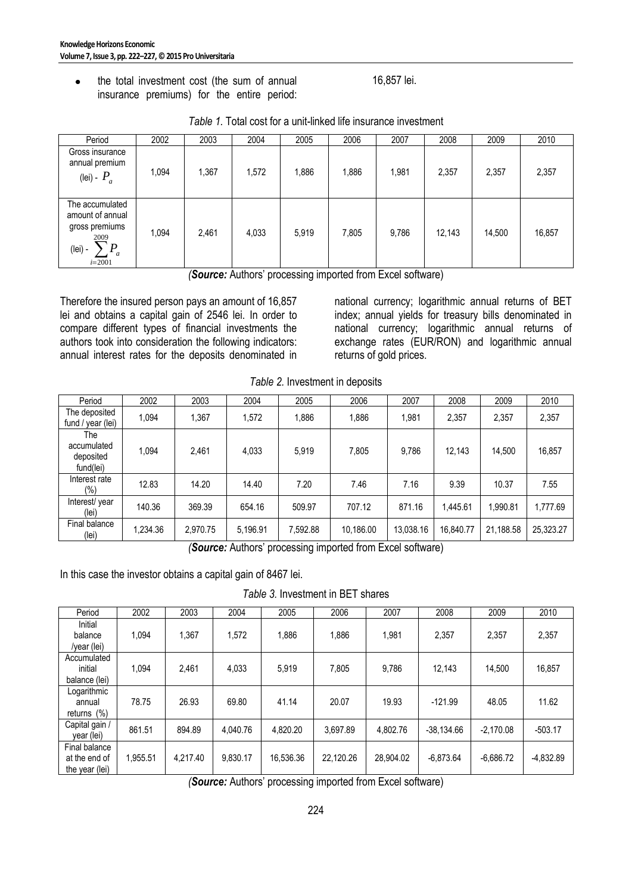the total investment cost (the sum of annual  $\bullet$ insurance premiums) for the entire period:

16,857 lei.

| Period                                                                                                                     | 2002  | 2003  | 2004  | 2005  | 2006  | 2007  | 2008   | 2009   | 2010   |
|----------------------------------------------------------------------------------------------------------------------------|-------|-------|-------|-------|-------|-------|--------|--------|--------|
| Gross insurance<br>annual premium<br>(lei) - $P_a$                                                                         | 1.094 | 1,367 | 1,572 | 1,886 | 1,886 | ,981  | 2,357  | 2,357  | 2,357  |
| The accumulated<br>amount of annual<br>gross premiums<br>2009<br>$\overline{P}$<br>(lei) -<br>$\mathfrak{a}$<br>$i = 2001$ | 1,094 | 2,461 | 4,033 | 5,919 | 7,805 | 9,786 | 12,143 | 14,500 | 16,857 |

| Table 1. Total cost for a unit-linked life insurance investment |  |
|-----------------------------------------------------------------|--|
|-----------------------------------------------------------------|--|

*(Source:* Authors' processing imported from Excel software)

Therefore the insured person pays an amount of 16,857 lei and obtains a capital gain of 2546 lei. In order to compare different types of financial investments the authors took into consideration the following indicators: annual interest rates for the deposits denominated in national currency; logarithmic annual returns of BET index; annual yields for treasury bills denominated in national currency; logarithmic annual returns of exchange rates (EUR/RON) and logarithmic annual returns of gold prices.

| Table 2. Investment in deposits |  |
|---------------------------------|--|
|---------------------------------|--|

| Period                                       | 2002     | 2003     | 2004     | 2005     | 2006      | 2007      | 2008      | 2009      | 2010      |
|----------------------------------------------|----------|----------|----------|----------|-----------|-----------|-----------|-----------|-----------|
| The deposited<br>fund / year (lei)           | 1.094    | 1,367    | 1.572    | 1,886    | 1.886     | 1.981     | 2,357     | 2,357     | 2,357     |
| The<br>accumulated<br>deposited<br>fund(lei) | 1,094    | 2,461    | 4,033    | 5,919    | 7,805     | 9,786     | 12,143    | 14,500    | 16,857    |
| Interest rate<br>$(\% )$                     | 12.83    | 14.20    | 14.40    | 7.20     | 7.46      | 7.16      | 9.39      | 10.37     | 7.55      |
| Interest/ year<br>(lei)                      | 140.36   | 369.39   | 654.16   | 509.97   | 707.12    | 871.16    | 1.445.61  | 1,990.81  | 1,777.69  |
| Final balance<br>(lei)                       | 1,234.36 | 2,970.75 | 5,196.91 | 7,592.88 | 10,186.00 | 13.038.16 | 16,840.77 | 21,188.58 | 25,323.27 |

*(Source:* Authors' processing imported from Excel software)

In this case the investor obtains a capital gain of 8467 lei.

*Table 3.* Investment in BET shares

| Period                                           | 2002     | 2003     | 2004     | 2005      | 2006      | 2007      | 2008         | 2009        | 2010        |
|--------------------------------------------------|----------|----------|----------|-----------|-----------|-----------|--------------|-------------|-------------|
| Initial<br>balance<br>/year (lei)                | 1,094    | 1,367    | 1,572    | 1,886     | 1,886     | 1,981     | 2,357        | 2,357       | 2,357       |
| Accumulated<br>initial<br>balance (lei)          | 1.094    | 2,461    | 4,033    | 5,919     | 7,805     | 9,786     | 12.143       | 14.500      | 16,857      |
| Logarithmic<br>annual<br>returns (%)             | 78.75    | 26.93    | 69.80    | 41.14     | 20.07     | 19.93     | $-121.99$    | 48.05       | 11.62       |
| Capital gain /<br>year (lei)                     | 861.51   | 894.89   | 4.040.76 | 4.820.20  | 3.697.89  | 4.802.76  | $-38,134.66$ | $-2,170.08$ | $-503.17$   |
| Final balance<br>at the end of<br>the year (lei) | 1,955.51 | 4,217.40 | 9,830.17 | 16,536.36 | 22,120.26 | 28,904.02 | $-6,873.64$  | $-6,686.72$ | $-4,832.89$ |

*(Source:* Authors' processing imported from Excel software)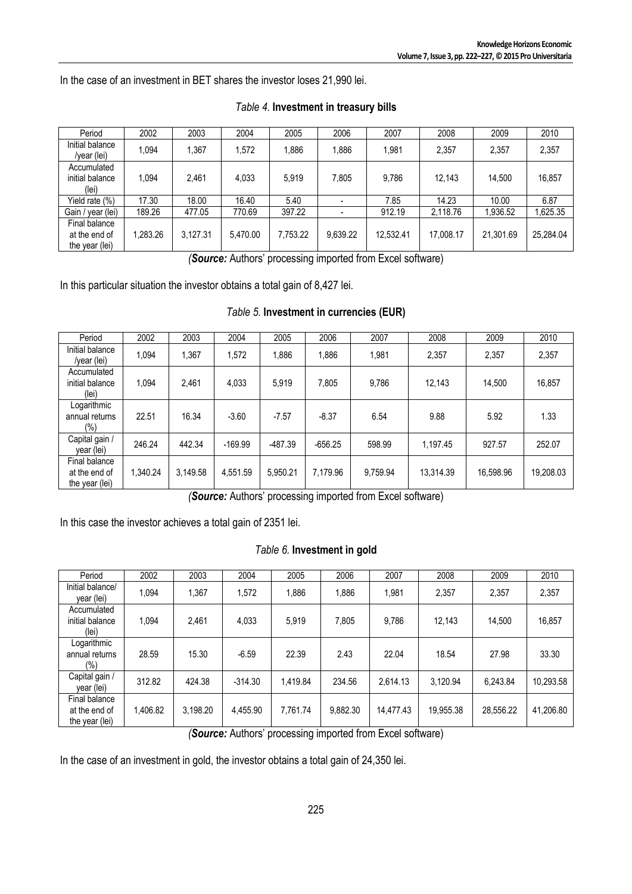In the case of an investment in BET shares the investor loses 21,990 lei.

| Period                                           | 2002     | 2003     | 2004     | 2005     | 2006     | 2007      | 2008      | 2009      | 2010      |
|--------------------------------------------------|----------|----------|----------|----------|----------|-----------|-----------|-----------|-----------|
| Initial balance<br>/year (lei)                   | 1.094    | .367     | 1.572    | 1.886    | 1.886    | 1.981     | 2.357     | 2.357     | 2,357     |
| Accumulated<br>initial balance<br>(lei)          | 1.094    | 2.461    | 4.033    | 5.919    | 7.805    | 9.786     | 12.143    | 14.500    | 16,857    |
| Yield rate (%)                                   | 17.30    | 18.00    | 16.40    | 5.40     |          | 7.85      | 14.23     | 10.00     | 6.87      |
| Gain / year (lei)                                | 189.26   | 477.05   | 770.69   | 397.22   |          | 912.19    | 2,118.76  | 1,936.52  | ,625.35   |
| Final balance<br>at the end of<br>the year (lei) | 1.283.26 | 3.127.31 | 5.470.00 | 7.753.22 | 9.639.22 | 12,532.41 | 17,008.17 | 21.301.69 | 25,284.04 |

#### *Table 4.* **Investment in treasury bills**

*(Source:* Authors' processing imported from Excel software)

In this particular situation the investor obtains a total gain of 8,427 lei.

| Period                                           | 2002     | 2003     | 2004      | 2005      | 2006      | 2007     | 2008      | 2009      | 2010      |
|--------------------------------------------------|----------|----------|-----------|-----------|-----------|----------|-----------|-----------|-----------|
| Initial balance<br>/year (lei)                   | 1.094    | 1.367    | 1,572     | 1,886     | 1,886     | 1,981    | 2,357     | 2,357     | 2,357     |
| Accumulated<br>initial balance<br>(lei)          | 1.094    | 2,461    | 4,033     | 5,919     | 7,805     | 9,786    | 12,143    | 14,500    | 16,857    |
| Logarithmic<br>annual returns<br>$(\% )$         | 22.51    | 16.34    | $-3.60$   | $-7.57$   | $-8.37$   | 6.54     | 9.88      | 5.92      | 1.33      |
| Capital gain /<br>year (lei)                     | 246.24   | 442.34   | $-169.99$ | $-487.39$ | $-656.25$ | 598.99   | 1,197.45  | 927.57    | 252.07    |
| Final balance<br>at the end of<br>the year (lei) | 1,340.24 | 3.149.58 | 4,551.59  | 5,950.21  | 7,179.96  | 9,759.94 | 13,314.39 | 16,598.96 | 19,208.03 |

*(Source:* Authors' processing imported from Excel software)

In this case the investor achieves a total gain of 2351 lei.

#### *Table 6.* **Investment in gold**

| Period                                           | 2002     | 2003               | 2004      | 2005     | 2006     | 2007                                                              | 2008      | 2009      | 2010      |
|--------------------------------------------------|----------|--------------------|-----------|----------|----------|-------------------------------------------------------------------|-----------|-----------|-----------|
| Initial balance/<br>year (lei)                   | 1,094    | 1,367              | 1,572     | 1,886    | 1,886    | 1,981                                                             | 2,357     | 2,357     | 2,357     |
| Accumulated<br>initial balance<br>(lei)          | 1.094    | 2,461              | 4,033     | 5,919    | 7,805    | 9.786                                                             | 12.143    | 14,500    | 16,857    |
| Logarithmic<br>annual returns<br>$(\% )$         | 28.59    | 15.30              | $-6.59$   | 22.39    | 2.43     | 22.04                                                             | 18.54     | 27.98     | 33.30     |
| Capital gain /<br>year (lei)                     | 312.82   | 424.38             | $-314.30$ | 1,419.84 | 234.56   | 2.614.13                                                          | 3,120.94  | 6.243.84  | 10,293.58 |
| Final balance<br>at the end of<br>the year (lei) | 1,406.82 | 3,198.20<br>$\sim$ | 4.455.90  | 7.761.74 | 9,882.30 | 14.477.43<br>$\overline{\phantom{0}}$<br>$\overline{\phantom{a}}$ | 19,955.38 | 28,556.22 | 41,206.80 |

*(Source:* Authors' processing imported from Excel software)

In the case of an investment in gold, the investor obtains a total gain of 24,350 lei.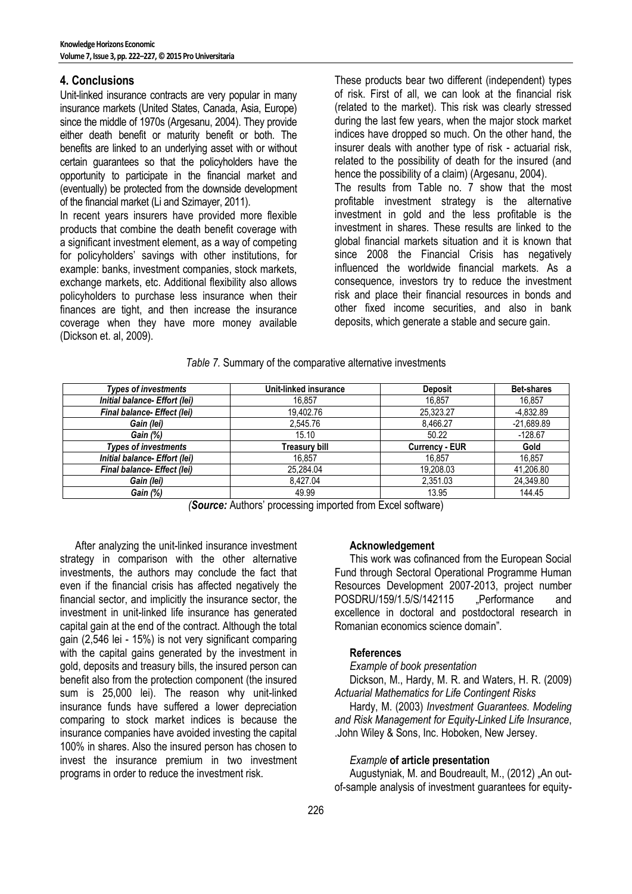## **4. Conclusions**

Unit-linked insurance contracts are very popular in many insurance markets (United States, Canada, Asia, Europe) since the middle of 1970s (Argesanu, 2004). They provide either death benefit or maturity benefit or both. The benefits are linked to an underlying asset with or without certain guarantees so that the policyholders have the opportunity to participate in the financial market and (eventually) be protected from the downside development of the financial market (Li and Szimayer, 2011).

In recent years insurers have provided more flexible products that combine the death benefit coverage with a significant investment element, as a way of competing for policyholders' savings with other institutions, for example: banks, investment companies, stock markets, exchange markets, etc. Additional flexibility also allows policyholders to purchase less insurance when their finances are tight, and then increase the insurance coverage when they have more money available (Dickson et. al, 2009).

These products bear two different (independent) types of risk. First of all, we can look at the financial risk (related to the market). This risk was clearly stressed during the last few years, when the major stock market indices have dropped so much. On the other hand, the insurer deals with another type of risk - actuarial risk, related to the possibility of death for the insured (and hence the possibility of a claim) (Argesanu, 2004). The results from Table no. 7 show that the most profitable investment strategy is the alternative investment in gold and the less profitable is the investment in shares. These results are linked to the global financial markets situation and it is known that since 2008 the Financial Crisis has negatively influenced the worldwide financial markets. As a consequence, investors try to reduce the investment risk and place their financial resources in bonds and other fixed income securities, and also in bank deposits, which generate a stable and secure gain.

|  |  |  |  | Table 7. Summary of the comparative alternative investments |
|--|--|--|--|-------------------------------------------------------------|
|--|--|--|--|-------------------------------------------------------------|

| <b>Types of investments</b>          | Unit-linked insurance | <b>Deposit</b>        | <b>Bet-shares</b> |
|--------------------------------------|-----------------------|-----------------------|-------------------|
| Initial balance- Effort (lei)        | 16.857                | 16.857                | 16.857            |
| Final balance- Effect (lei)          | 19.402.76             | 25.323.27             | -4,832.89         |
| Gain (lei)                           | 2.545.76              | 8.466.27              | $-21,689.89$      |
| Gain (%)                             | 15.10                 | 50.22                 | $-128.67$         |
| <b>Types of investments</b>          | Treasury bill         | <b>Currency - EUR</b> | Gold              |
| Initial balance- Effort (lei)        | 16.857                | 16.857                | 16.857            |
| Final balance- Effect (lei)          | 25.284.04             | 19,208.03             | 41,206.80         |
| Gain (lei)                           | 8.427.04              | 2,351.03              | 24,349.80         |
| Gain (%)<br>$\overline{\phantom{0}}$ | 49.99<br>.            | 13.95                 | 144.45            |

*(Source:* Authors' processing imported from Excel software)

After analyzing the unit-linked insurance investment strategy in comparison with the other alternative investments, the authors may conclude the fact that even if the financial crisis has affected negatively the financial sector, and implicitly the insurance sector, the investment in unit-linked life insurance has generated capital gain at the end of the contract. Although the total gain (2,546 lei - 15%) is not very significant comparing with the capital gains generated by the investment in gold, deposits and treasury bills, the insured person can benefit also from the protection component (the insured sum is 25,000 lei). The reason why unit-linked insurance funds have suffered a lower depreciation comparing to stock market indices is because the insurance companies have avoided investing the capital 100% in shares. Also the insured person has chosen to invest the insurance premium in two investment programs in order to reduce the investment risk.

## **Acknowledgement**

This work was cofinanced from the European Social Fund through Sectoral Operational Programme Human Resources Development 2007-2013, project number POSDRU/159/1.5/S/142115 .Performance and excellence in doctoral and postdoctoral research in Romanian economics science domain".

#### **References**

### *Example of book presentation*

Dickson, M., Hardy, M. R. and Waters, H. R. (2009) *Actuarial Mathematics for Life Contingent Risks*

Hardy, M. (2003) *Investment Guarantees. Modeling and Risk Management for Equity-Linked Life Insurance*, .John Wiley & Sons, Inc. Hoboken, New Jersey.

#### *Example* **of article presentation**

Augustyniak, M. and Boudreault, M., (2012) "An outof-sample analysis of investment guarantees for equity